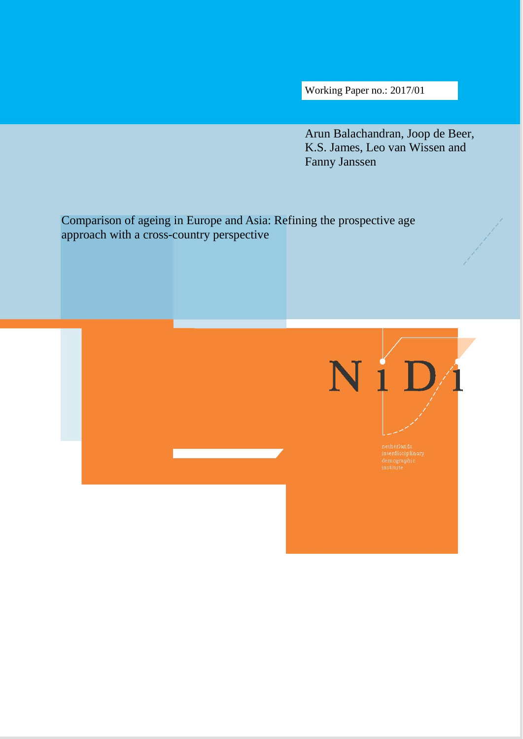Working Paper no.: 2017/01

Arun Balachandran, Joop de Beer, K.S. James, Leo van Wissen and Fanny Janssen

Comparison of ageing in Europe and Asia: Refining the prospective age approach with a cross-country perspective

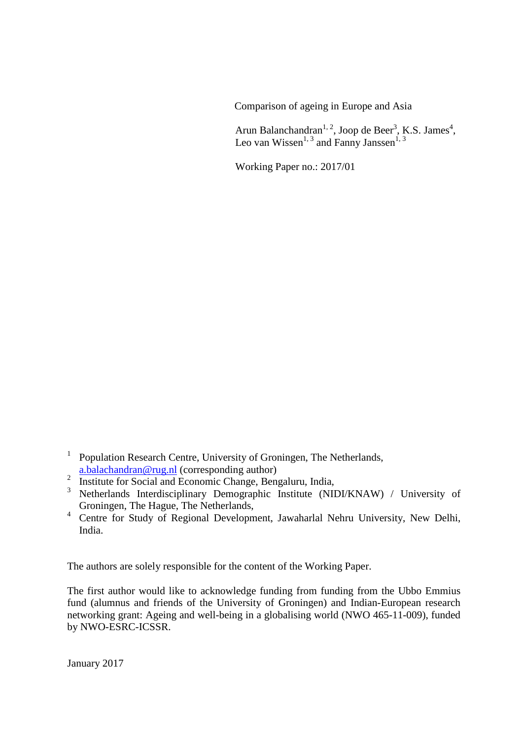Comparison of ageing in Europe and Asia

Arun Balanchandran<sup>1, 2</sup>, Joop de Beer<sup>3</sup>, K.S. James<sup>4</sup>, Leo van Wissen<sup>1, 3</sup> and Fanny Janssen<sup>1, 3</sup>

Working Paper no.: 2017/01

- <sup>1</sup> Population Research Centre, University of Groningen, The Netherlands, [a.balachandran@rug.nl](mailto:a.balachandran@rug.nl) (corresponding author)
- $\frac{2 \text{ n.Data} \cdot \text{A}}{\text{Institute for Social and Economic Change, Bengaluru, India, }}$
- <sup>3</sup> Netherlands Interdisciplinary Demographic Institute (NIDI/KNAW) / University of Groningen, The Hague, The Netherlands,
- 4 Centre for Study of Regional Development, Jawaharlal Nehru University, New Delhi, India.

The authors are solely responsible for the content of the Working Paper.

The first author would like to acknowledge funding from funding from the Ubbo Emmius fund (alumnus and friends of the University of Groningen) and Indian-European research networking grant: Ageing and well-being in a globalising world (NWO 465-11-009), funded by NWO-ESRC-ICSSR.

January 2017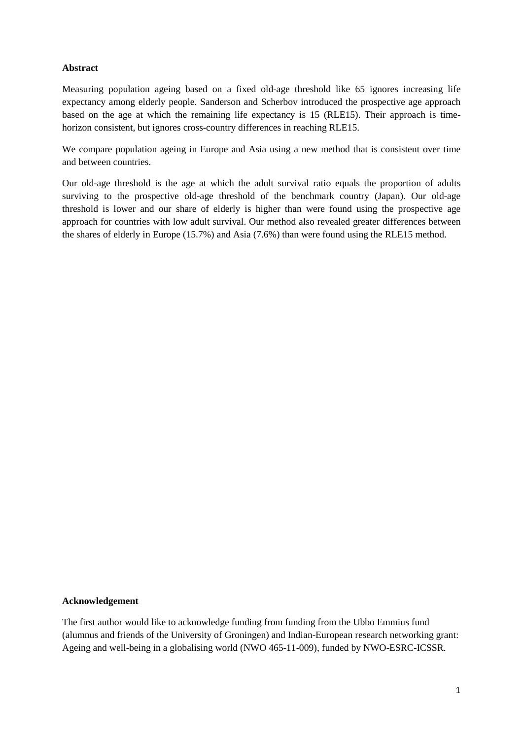## **Abstract**

Measuring population ageing based on a fixed old-age threshold like 65 ignores increasing life expectancy among elderly people. Sanderson and Scherbov introduced the prospective age approach based on the age at which the remaining life expectancy is 15 (RLE15). Their approach is timehorizon consistent, but ignores cross-country differences in reaching RLE15.

We compare population ageing in Europe and Asia using a new method that is consistent over time and between countries.

Our old-age threshold is the age at which the adult survival ratio equals the proportion of adults surviving to the prospective old-age threshold of the benchmark country (Japan). Our old-age threshold is lower and our share of elderly is higher than were found using the prospective age approach for countries with low adult survival. Our method also revealed greater differences between the shares of elderly in Europe (15.7%) and Asia (7.6%) than were found using the RLE15 method.

#### **Acknowledgement**

The first author would like to acknowledge funding from funding from the Ubbo Emmius fund (alumnus and friends of the University of Groningen) and Indian-European research networking grant: Ageing and well-being in a globalising world (NWO 465-11-009), funded by NWO-ESRC-ICSSR.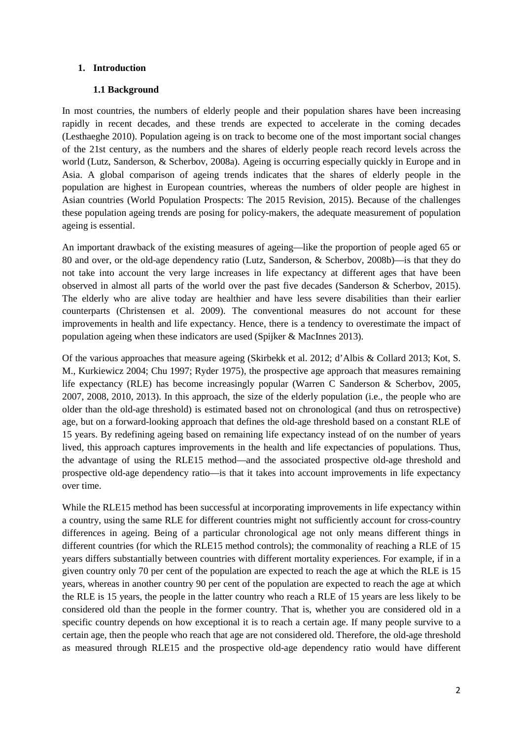## **1. Introduction**

## **1.1 Background**

In most countries, the numbers of elderly people and their population shares have been increasing rapidly in recent decades, and these trends are expected to accelerate in the coming decades (Lesthaeghe 2010). Population ageing is on track to become one of the most important social changes of the 21st century, as the numbers and the shares of elderly people reach record levels across the world (Lutz, Sanderson, & Scherbov, 2008a). Ageing is occurring especially quickly in Europe and in Asia. A global comparison of ageing trends indicates that the shares of elderly people in the population are highest in European countries, whereas the numbers of older people are highest in Asian countries (World Population Prospects: The 2015 Revision, 2015). Because of the challenges these population ageing trends are posing for policy-makers, the adequate measurement of population ageing is essential.

An important drawback of the existing measures of ageing—like the proportion of people aged 65 or 80 and over, or the old-age dependency ratio (Lutz, Sanderson, & Scherbov, 2008b)—is that they do not take into account the very large increases in life expectancy at different ages that have been observed in almost all parts of the world over the past five decades (Sanderson & Scherbov, 2015). The elderly who are alive today are healthier and have less severe disabilities than their earlier counterparts (Christensen et al. 2009). The conventional measures do not account for these improvements in health and life expectancy. Hence, there is a tendency to overestimate the impact of population ageing when these indicators are used (Spijker & MacInnes 2013).

Of the various approaches that measure ageing (Skirbekk et al. 2012; d'Albis & Collard 2013; Kot, S. M., Kurkiewicz 2004; Chu 1997; Ryder 1975), the prospective age approach that measures remaining life expectancy (RLE) has become increasingly popular (Warren C Sanderson & Scherbov, 2005, 2007, 2008, 2010, 2013). In this approach, the size of the elderly population (i.e., the people who are older than the old-age threshold) is estimated based not on chronological (and thus on retrospective) age, but on a forward-looking approach that defines the old-age threshold based on a constant RLE of 15 years. By redefining ageing based on remaining life expectancy instead of on the number of years lived, this approach captures improvements in the health and life expectancies of populations. Thus, the advantage of using the RLE15 method—and the associated prospective old-age threshold and prospective old-age dependency ratio—is that it takes into account improvements in life expectancy over time.

While the RLE15 method has been successful at incorporating improvements in life expectancy within a country, using the same RLE for different countries might not sufficiently account for cross-country differences in ageing. Being of a particular chronological age not only means different things in different countries (for which the RLE15 method controls); the commonality of reaching a RLE of 15 years differs substantially between countries with different mortality experiences. For example, if in a given country only 70 per cent of the population are expected to reach the age at which the RLE is 15 years, whereas in another country 90 per cent of the population are expected to reach the age at which the RLE is 15 years, the people in the latter country who reach a RLE of 15 years are less likely to be considered old than the people in the former country. That is, whether you are considered old in a specific country depends on how exceptional it is to reach a certain age. If many people survive to a certain age, then the people who reach that age are not considered old. Therefore, the old-age threshold as measured through RLE15 and the prospective old-age dependency ratio would have different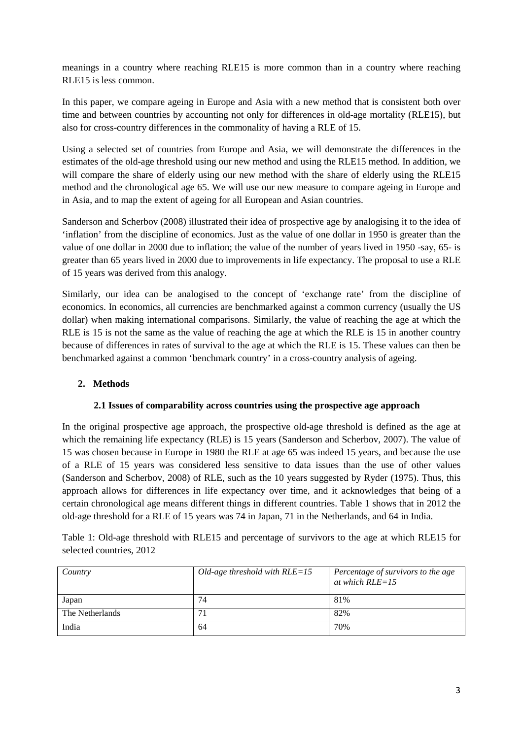meanings in a country where reaching RLE15 is more common than in a country where reaching RLE15 is less common.

In this paper, we compare ageing in Europe and Asia with a new method that is consistent both over time and between countries by accounting not only for differences in old-age mortality (RLE15), but also for cross-country differences in the commonality of having a RLE of 15.

Using a selected set of countries from Europe and Asia, we will demonstrate the differences in the estimates of the old-age threshold using our new method and using the RLE15 method. In addition, we will compare the share of elderly using our new method with the share of elderly using the RLE15 method and the chronological age 65. We will use our new measure to compare ageing in Europe and in Asia, and to map the extent of ageing for all European and Asian countries.

Sanderson and Scherbov (2008) illustrated their idea of prospective age by analogising it to the idea of 'inflation' from the discipline of economics. Just as the value of one dollar in 1950 is greater than the value of one dollar in 2000 due to inflation; the value of the number of years lived in 1950 -say, 65- is greater than 65 years lived in 2000 due to improvements in life expectancy. The proposal to use a RLE of 15 years was derived from this analogy.

Similarly, our idea can be analogised to the concept of 'exchange rate' from the discipline of economics. In economics, all currencies are benchmarked against a common currency (usually the US dollar) when making international comparisons. Similarly, the value of reaching the age at which the RLE is 15 is not the same as the value of reaching the age at which the RLE is 15 in another country because of differences in rates of survival to the age at which the RLE is 15. These values can then be benchmarked against a common 'benchmark country' in a cross-country analysis of ageing.

## **2. Methods**

## **2.1 Issues of comparability across countries using the prospective age approach**

In the original prospective age approach, the prospective old-age threshold is defined as the age at which the remaining life expectancy (RLE) is 15 years (Sanderson and Scherbov, 2007). The value of 15 was chosen because in Europe in 1980 the RLE at age 65 was indeed 15 years, and because the use of a RLE of 15 years was considered less sensitive to data issues than the use of other values (Sanderson and Scherbov, 2008) of RLE, such as the 10 years suggested by Ryder (1975). Thus, this approach allows for differences in life expectancy over time, and it acknowledges that being of a certain chronological age means different things in different countries. Table 1 shows that in 2012 the old-age threshold for a RLE of 15 years was 74 in Japan, 71 in the Netherlands, and 64 in India.

Table 1: Old-age threshold with RLE15 and percentage of survivors to the age at which RLE15 for selected countries, 2012

| Country         | Old-age threshold with $RLE=15$ | Percentage of survivors to the age<br>at which $RLE = 15$ |
|-----------------|---------------------------------|-----------------------------------------------------------|
| Japan           | 74                              | 81%                                                       |
| The Netherlands | 71                              | 82%                                                       |
| India           | 64                              | 70%                                                       |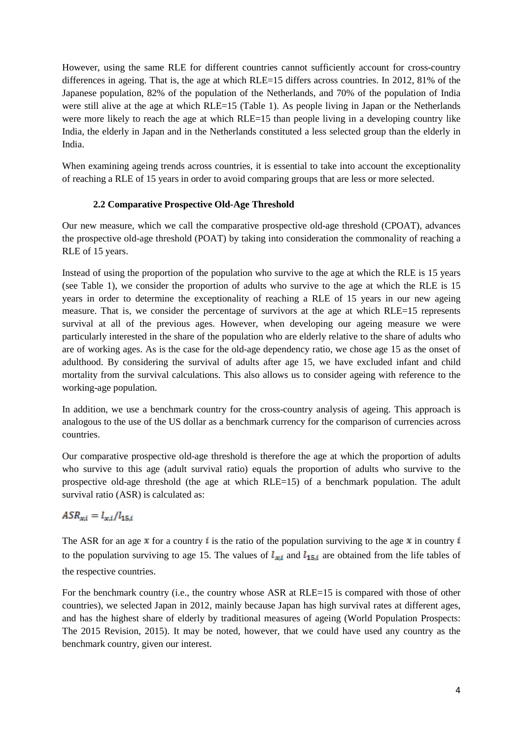However, using the same RLE for different countries cannot sufficiently account for cross-country differences in ageing. That is, the age at which RLE=15 differs across countries. In 2012, 81% of the Japanese population, 82% of the population of the Netherlands, and 70% of the population of India were still alive at the age at which RLE=15 (Table 1). As people living in Japan or the Netherlands were more likely to reach the age at which RLE=15 than people living in a developing country like India, the elderly in Japan and in the Netherlands constituted a less selected group than the elderly in India.

When examining ageing trends across countries, it is essential to take into account the exceptionality of reaching a RLE of 15 years in order to avoid comparing groups that are less or more selected.

## **2.2 Comparative Prospective Old-Age Threshold**

Our new measure, which we call the comparative prospective old-age threshold (CPOAT), advances the prospective old-age threshold (POAT) by taking into consideration the commonality of reaching a RLE of 15 years.

Instead of using the proportion of the population who survive to the age at which the RLE is 15 years (see Table 1), we consider the proportion of adults who survive to the age at which the RLE is 15 years in order to determine the exceptionality of reaching a RLE of 15 years in our new ageing measure. That is, we consider the percentage of survivors at the age at which RLE=15 represents survival at all of the previous ages. However, when developing our ageing measure we were particularly interested in the share of the population who are elderly relative to the share of adults who are of working ages. As is the case for the old-age dependency ratio, we chose age 15 as the onset of adulthood. By considering the survival of adults after age 15, we have excluded infant and child mortality from the survival calculations. This also allows us to consider ageing with reference to the working-age population.

In addition, we use a benchmark country for the cross-country analysis of ageing. This approach is analogous to the use of the US dollar as a benchmark currency for the comparison of currencies across countries.

Our comparative prospective old-age threshold is therefore the age at which the proportion of adults who survive to this age (adult survival ratio) equals the proportion of adults who survive to the prospective old-age threshold (the age at which RLE=15) of a benchmark population. The adult survival ratio (ASR) is calculated as:

# $ASR_{xi} = l_{xi}/l_{15,i}$

The ASR for an age  $\bar{x}$  for a country  $\bar{i}$  is the ratio of the population surviving to the age  $\bar{x}$  in country  $\bar{i}$ to the population surviving to age 15. The values of  $l_{\text{min}}$  and  $l_{\text{15,i}}$  are obtained from the life tables of the respective countries.

For the benchmark country (i.e., the country whose ASR at RLE=15 is compared with those of other countries), we selected Japan in 2012, mainly because Japan has high survival rates at different ages, and has the highest share of elderly by traditional measures of ageing (World Population Prospects: The 2015 Revision, 2015). It may be noted, however, that we could have used any country as the benchmark country, given our interest.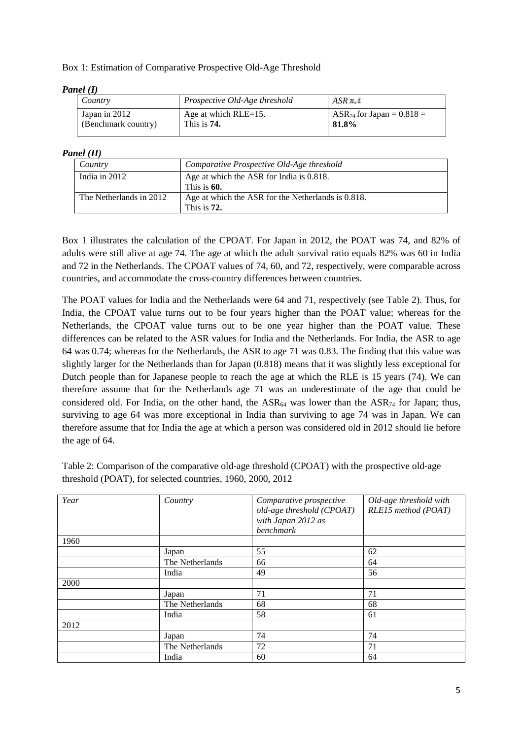## Box 1: Estimation of Comparative Prospective Old-Age Threshold

#### *Panel (I)*

| Country                              | Prospective Old-Age threshold          | $ASR \times i$                          |
|--------------------------------------|----------------------------------------|-----------------------------------------|
| Japan in 2012<br>(Benchmark country) | Age at which $RLE=15$ .<br>This is 74. | $ASR_{74}$ for Japan = 0.818 =<br>81.8% |
|                                      |                                        |                                         |

#### *Panel (II)*

| Country                 | Comparative Prospective Old-Age threshold                           |
|-------------------------|---------------------------------------------------------------------|
| India in $2012$         | Age at which the ASR for India is 0.818.<br>This is 60.             |
| The Netherlands in 2012 | Age at which the ASR for the Netherlands is 0.818.<br>This is $72.$ |

Box 1 illustrates the calculation of the CPOAT. For Japan in 2012, the POAT was 74, and 82% of adults were still alive at age 74. The age at which the adult survival ratio equals 82% was 60 in India and 72 in the Netherlands. The CPOAT values of 74, 60, and 72, respectively, were comparable across countries, and accommodate the cross-country differences between countries.

The POAT values for India and the Netherlands were 64 and 71, respectively (see Table 2). Thus, for India, the CPOAT value turns out to be four years higher than the POAT value; whereas for the Netherlands, the CPOAT value turns out to be one year higher than the POAT value. These differences can be related to the ASR values for India and the Netherlands. For India, the ASR to age 64 was 0.74; whereas for the Netherlands, the ASR to age 71 was 0.83. The finding that this value was slightly larger for the Netherlands than for Japan (0.818) means that it was slightly less exceptional for Dutch people than for Japanese people to reach the age at which the RLE is 15 years (74). We can therefore assume that for the Netherlands age 71 was an underestimate of the age that could be considered old. For India, on the other hand, the  $ASR_{64}$  was lower than the  $ASR_{74}$  for Japan; thus, surviving to age 64 was more exceptional in India than surviving to age 74 was in Japan. We can therefore assume that for India the age at which a person was considered old in 2012 should lie before the age of 64.

Table 2: Comparison of the comparative old-age threshold (CPOAT) with the prospective old-age threshold (POAT), for selected countries, 1960, 2000, 2012

| Year | Country         | Comparative prospective<br>old-age threshold (CPOAT)<br>with Japan 2012 as<br>benchmark | Old-age threshold with<br>RLE15 method (POAT) |
|------|-----------------|-----------------------------------------------------------------------------------------|-----------------------------------------------|
| 1960 |                 |                                                                                         |                                               |
|      | Japan           | 55                                                                                      | 62                                            |
|      | The Netherlands | 66                                                                                      | 64                                            |
|      | India           | 49                                                                                      | 56                                            |
| 2000 |                 |                                                                                         |                                               |
|      | Japan           | 71                                                                                      | 71                                            |
|      | The Netherlands | 68                                                                                      | 68                                            |
|      | India           | 58                                                                                      | 61                                            |
| 2012 |                 |                                                                                         |                                               |
|      | Japan           | 74                                                                                      | 74                                            |
|      | The Netherlands | 72                                                                                      | 71                                            |
|      | India           | 60                                                                                      | 64                                            |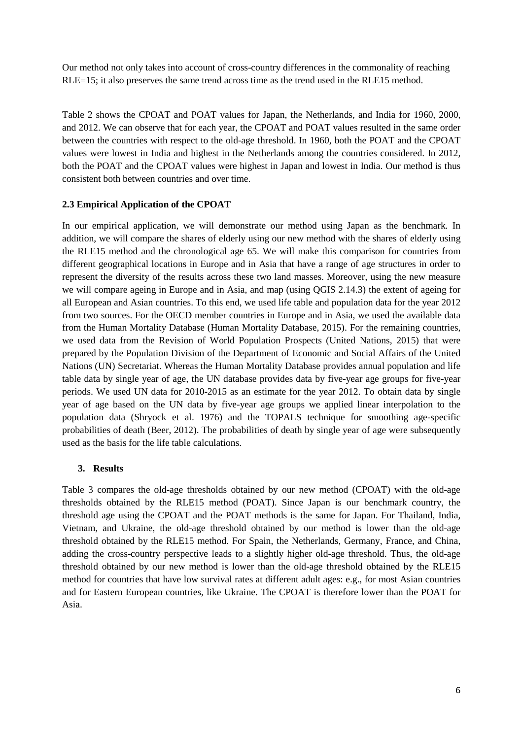Our method not only takes into account of cross-country differences in the commonality of reaching RLE=15; it also preserves the same trend across time as the trend used in the RLE15 method.

Table 2 shows the CPOAT and POAT values for Japan, the Netherlands, and India for 1960, 2000, and 2012. We can observe that for each year, the CPOAT and POAT values resulted in the same order between the countries with respect to the old-age threshold. In 1960, both the POAT and the CPOAT values were lowest in India and highest in the Netherlands among the countries considered. In 2012, both the POAT and the CPOAT values were highest in Japan and lowest in India. Our method is thus consistent both between countries and over time.

## **2.3 Empirical Application of the CPOAT**

In our empirical application, we will demonstrate our method using Japan as the benchmark. In addition, we will compare the shares of elderly using our new method with the shares of elderly using the RLE15 method and the chronological age 65. We will make this comparison for countries from different geographical locations in Europe and in Asia that have a range of age structures in order to represent the diversity of the results across these two land masses. Moreover, using the new measure we will compare ageing in Europe and in Asia, and map (using QGIS 2.14.3) the extent of ageing for all European and Asian countries. To this end, we used life table and population data for the year 2012 from two sources. For the OECD member countries in Europe and in Asia, we used the available data from the Human Mortality Database (Human Mortality Database, 2015). For the remaining countries, we used data from the Revision of World Population Prospects (United Nations, 2015) that were prepared by the Population Division of the Department of Economic and Social Affairs of the United Nations (UN) Secretariat. Whereas the Human Mortality Database provides annual population and life table data by single year of age, the UN database provides data by five-year age groups for five-year periods. We used UN data for 2010-2015 as an estimate for the year 2012. To obtain data by single year of age based on the UN data by five-year age groups we applied linear interpolation to the population data (Shryock et al. 1976) and the TOPALS technique for smoothing age-specific probabilities of death (Beer, 2012). The probabilities of death by single year of age were subsequently used as the basis for the life table calculations.

## **3. Results**

Table 3 compares the old-age thresholds obtained by our new method (CPOAT) with the old-age thresholds obtained by the RLE15 method (POAT). Since Japan is our benchmark country, the threshold age using the CPOAT and the POAT methods is the same for Japan. For Thailand, India, Vietnam, and Ukraine, the old-age threshold obtained by our method is lower than the old-age threshold obtained by the RLE15 method. For Spain, the Netherlands, Germany, France, and China, adding the cross-country perspective leads to a slightly higher old-age threshold. Thus, the old-age threshold obtained by our new method is lower than the old-age threshold obtained by the RLE15 method for countries that have low survival rates at different adult ages: e.g., for most Asian countries and for Eastern European countries, like Ukraine. The CPOAT is therefore lower than the POAT for Asia.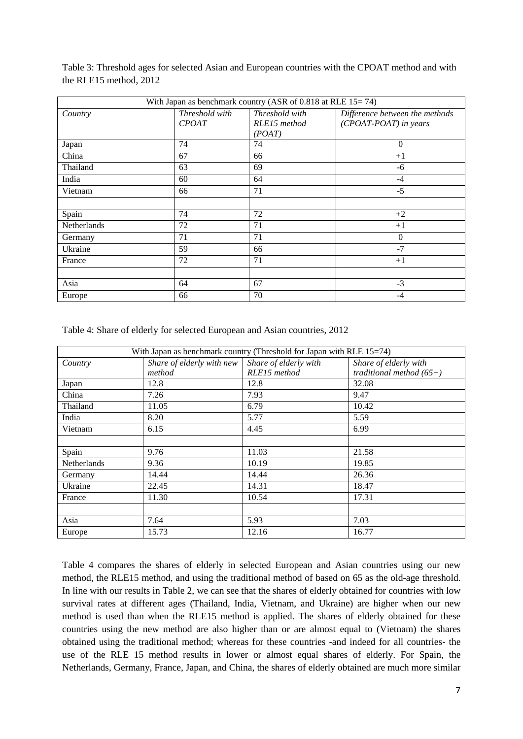| Table 3: Threshold ages for selected Asian and European countries with the CPOAT method and with |
|--------------------------------------------------------------------------------------------------|
| the RLE15 method, $2012$                                                                         |
|                                                                                                  |
| White Lemma as boundary and constant (A CD of O 0.10 of DI $\Gamma$ 15 $\pi$ 7.4)                |

| With Japan as benchmark country (ASR of $0.818$ at RLE $15 = 74$ ) |                                |                                          |                                                         |  |
|--------------------------------------------------------------------|--------------------------------|------------------------------------------|---------------------------------------------------------|--|
| Country                                                            | Threshold with<br><b>CPOAT</b> | Threshold with<br>RLE15 method<br>(POAT) | Difference between the methods<br>(CPOAT-POAT) in years |  |
| Japan                                                              | 74                             | 74                                       | $\Omega$                                                |  |
| China                                                              | 67                             | 66                                       | $+1$                                                    |  |
| Thailand                                                           | 63                             | 69                                       | -6                                                      |  |
| India                                                              | 60                             | 64                                       | $-4$                                                    |  |
| Vietnam                                                            | 66                             | 71                                       | $-5$                                                    |  |
|                                                                    |                                |                                          |                                                         |  |
| Spain                                                              | 74                             | 72                                       | $+2$                                                    |  |
| Netherlands                                                        | 72                             | 71                                       | $+1$                                                    |  |
| Germany                                                            | 71                             | 71                                       | $\Omega$                                                |  |
| Ukraine                                                            | 59                             | 66                                       | $-7$                                                    |  |
| France                                                             | 72                             | 71                                       | $+1$                                                    |  |
|                                                                    |                                |                                          |                                                         |  |
| Asia                                                               | 64                             | 67                                       | $-3$                                                    |  |
| Europe                                                             | 66                             | 70                                       | -4                                                      |  |

Table 4: Share of elderly for selected European and Asian countries, 2012

| With Japan as benchmark country (Threshold for Japan with RLE 15=74) |                           |                       |                            |
|----------------------------------------------------------------------|---------------------------|-----------------------|----------------------------|
| Country                                                              | Share of elderly with new | Share of elderly with | Share of elderly with      |
|                                                                      | method                    | RLE15 method          | traditional method $(65+)$ |
| Japan                                                                | 12.8                      | 12.8                  | 32.08                      |
| China                                                                | 7.26                      | 7.93                  | 9.47                       |
| Thailand                                                             | 11.05                     | 6.79                  | 10.42                      |
| India                                                                | 8.20                      | 5.77                  | 5.59                       |
| Vietnam                                                              | 6.15                      | 4.45                  | 6.99                       |
|                                                                      |                           |                       |                            |
| Spain                                                                | 9.76                      | 11.03                 | 21.58                      |
| Netherlands                                                          | 9.36                      | 10.19                 | 19.85                      |
| Germany                                                              | 14.44                     | 14.44                 | 26.36                      |
| Ukraine                                                              | 22.45                     | 14.31                 | 18.47                      |
| France                                                               | 11.30                     | 10.54                 | 17.31                      |
|                                                                      |                           |                       |                            |
| Asia                                                                 | 7.64                      | 5.93                  | 7.03                       |
| Europe                                                               | 15.73                     | 12.16                 | 16.77                      |

Table 4 compares the shares of elderly in selected European and Asian countries using our new method, the RLE15 method, and using the traditional method of based on 65 as the old-age threshold. In line with our results in Table 2, we can see that the shares of elderly obtained for countries with low survival rates at different ages (Thailand, India, Vietnam, and Ukraine) are higher when our new method is used than when the RLE15 method is applied. The shares of elderly obtained for these countries using the new method are also higher than or are almost equal to (Vietnam) the shares obtained using the traditional method; whereas for these countries -and indeed for all countries- the use of the RLE 15 method results in lower or almost equal shares of elderly. For Spain, the Netherlands, Germany, France, Japan, and China, the shares of elderly obtained are much more similar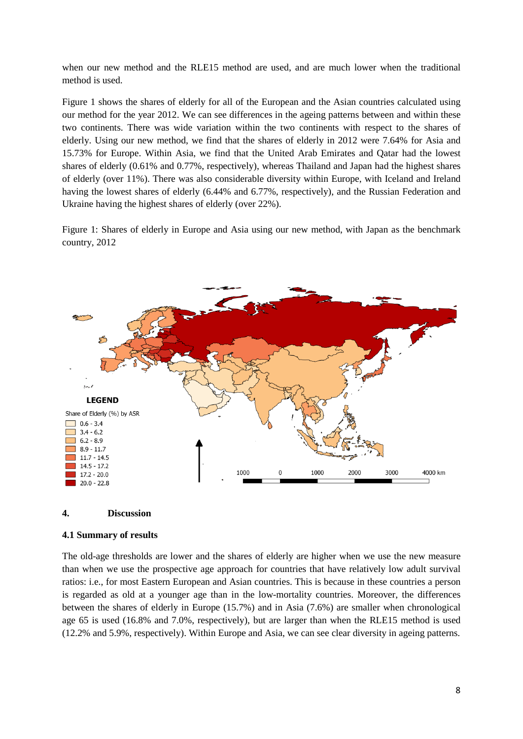when our new method and the RLE15 method are used, and are much lower when the traditional method is used.

Figure 1 shows the shares of elderly for all of the European and the Asian countries calculated using our method for the year 2012. We can see differences in the ageing patterns between and within these two continents. There was wide variation within the two continents with respect to the shares of elderly. Using our new method, we find that the shares of elderly in 2012 were 7.64% for Asia and 15.73% for Europe. Within Asia, we find that the United Arab Emirates and Qatar had the lowest shares of elderly (0.61% and 0.77%, respectively), whereas Thailand and Japan had the highest shares of elderly (over 11%). There was also considerable diversity within Europe, with Iceland and Ireland having the lowest shares of elderly (6.44% and 6.77%, respectively), and the Russian Federation and Ukraine having the highest shares of elderly (over 22%).

Figure 1: Shares of elderly in Europe and Asia using our new method, with Japan as the benchmark country, 2012



#### **4. Discussion**

#### **4.1 Summary of results**

The old-age thresholds are lower and the shares of elderly are higher when we use the new measure than when we use the prospective age approach for countries that have relatively low adult survival ratios: i.e., for most Eastern European and Asian countries. This is because in these countries a person is regarded as old at a younger age than in the low-mortality countries. Moreover, the differences between the shares of elderly in Europe (15.7%) and in Asia (7.6%) are smaller when chronological age 65 is used (16.8% and 7.0%, respectively), but are larger than when the RLE15 method is used (12.2% and 5.9%, respectively). Within Europe and Asia, we can see clear diversity in ageing patterns.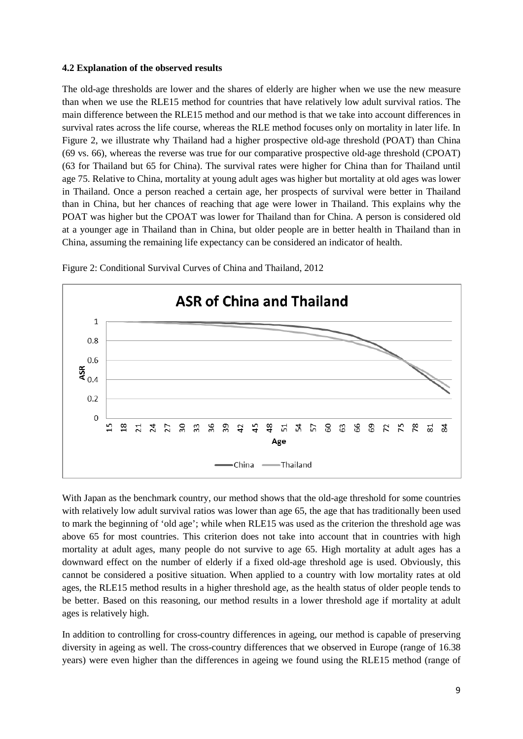### **4.2 Explanation of the observed results**

The old-age thresholds are lower and the shares of elderly are higher when we use the new measure than when we use the RLE15 method for countries that have relatively low adult survival ratios. The main difference between the RLE15 method and our method is that we take into account differences in survival rates across the life course, whereas the RLE method focuses only on mortality in later life. In Figure 2, we illustrate why Thailand had a higher prospective old-age threshold (POAT) than China (69 vs. 66), whereas the reverse was true for our comparative prospective old-age threshold (CPOAT) (63 for Thailand but 65 for China). The survival rates were higher for China than for Thailand until age 75. Relative to China, mortality at young adult ages was higher but mortality at old ages was lower in Thailand. Once a person reached a certain age, her prospects of survival were better in Thailand than in China, but her chances of reaching that age were lower in Thailand. This explains why the POAT was higher but the CPOAT was lower for Thailand than for China. A person is considered old at a younger age in Thailand than in China, but older people are in better health in Thailand than in China, assuming the remaining life expectancy can be considered an indicator of health.



Figure 2: Conditional Survival Curves of China and Thailand, 2012

With Japan as the benchmark country, our method shows that the old-age threshold for some countries with relatively low adult survival ratios was lower than age 65, the age that has traditionally been used to mark the beginning of 'old age'; while when RLE15 was used as the criterion the threshold age was above 65 for most countries. This criterion does not take into account that in countries with high mortality at adult ages, many people do not survive to age 65. High mortality at adult ages has a downward effect on the number of elderly if a fixed old-age threshold age is used. Obviously, this cannot be considered a positive situation. When applied to a country with low mortality rates at old ages, the RLE15 method results in a higher threshold age, as the health status of older people tends to be better. Based on this reasoning, our method results in a lower threshold age if mortality at adult ages is relatively high.

In addition to controlling for cross-country differences in ageing, our method is capable of preserving diversity in ageing as well. The cross-country differences that we observed in Europe (range of 16.38 years) were even higher than the differences in ageing we found using the RLE15 method (range of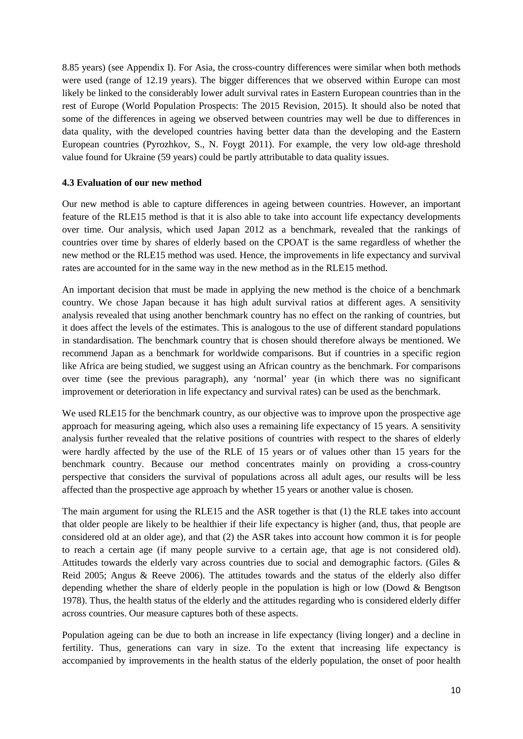8.85 years) (see Appendix I). For Asia, the cross-country differences were similar when both methods were used (range of 12.19 years). The bigger differences that we observed within Europe can most likely be linked to the considerably lower adult survival rates in Eastern European countries than in the rest of Europe (World Population Prospects: The 2015 Revision, 2015). It should also be noted that some of the differences in ageing we observed between countries may well be due to differences in data quality, with the developed countries having better data than the developing and the Eastern European countries (Pyrozhkov, S., N. Foygt 2011). For example, the very low old-age threshold value found for Ukraine (59 years) could be partly attributable to data quality issues.

## **4.3 Evaluation of our new method**

Our new method is able to capture differences in ageing between countries. However, an important feature of the RLE15 method is that it is also able to take into account life expectancy developments over time. Our analysis, which used Japan 2012 as a benchmark, revealed that the rankings of countries over time by shares of elderly based on the CPOAT is the same regardless of whether the new method or the RLE15 method was used. Hence, the improvements in life expectancy and survival rates are accounted for in the same way in the new method as in the RLE15 method.

An important decision that must be made in applying the new method is the choice of a benchmark country. We chose Japan because it has high adult survival ratios at different ages. A sensitivity analysis revealed that using another benchmark country has no effect on the ranking of countries, but it does affect the levels of the estimates. This is analogous to the use of different standard populations in standardisation. The benchmark country that is chosen should therefore always be mentioned. We recommend Japan as a benchmark for worldwide comparisons. But if countries in a specific region like Africa are being studied, we suggest using an African country as the benchmark. For comparisons over time (see the previous paragraph), any 'normal' year (in which there was no significant improvement or deterioration in life expectancy and survival rates) can be used as the benchmark.

We used RLE15 for the benchmark country, as our objective was to improve upon the prospective age approach for measuring ageing, which also uses a remaining life expectancy of 15 years. A sensitivity analysis further revealed that the relative positions of countries with respect to the shares of elderly were hardly affected by the use of the RLE of 15 years or of values other than 15 years for the benchmark country. Because our method concentrates mainly on providing a cross-country perspective that considers the survival of populations across all adult ages, our results will be less affected than the prospective age approach by whether 15 years or another value is chosen.

The main argument for using the RLE15 and the ASR together is that (1) the RLE takes into account that older people are likely to be healthier if their life expectancy is higher (and, thus, that people are considered old at an older age), and that (2) the ASR takes into account how common it is for people to reach a certain age (if many people survive to a certain age, that age is not considered old). Attitudes towards the elderly vary across countries due to social and demographic factors. (Giles & Reid 2005; Angus & Reeve 2006). The attitudes towards and the status of the elderly also differ depending whether the share of elderly people in the population is high or low (Dowd & Bengtson 1978). Thus, the health status of the elderly and the attitudes regarding who is considered elderly differ across countries. Our measure captures both of these aspects.

Population ageing can be due to both an increase in life expectancy (living longer) and a decline in fertility. Thus, generations can vary in size. To the extent that increasing life expectancy is accompanied by improvements in the health status of the elderly population, the onset of poor health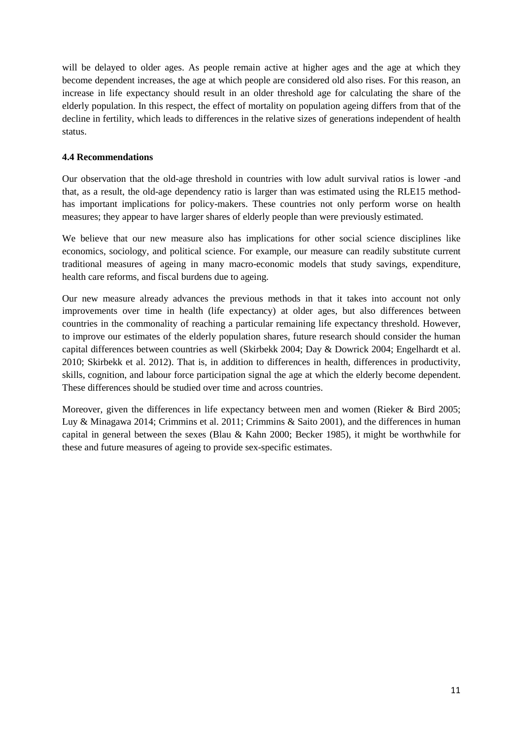will be delayed to older ages. As people remain active at higher ages and the age at which they become dependent increases, the age at which people are considered old also rises. For this reason, an increase in life expectancy should result in an older threshold age for calculating the share of the elderly population. In this respect, the effect of mortality on population ageing differs from that of the decline in fertility, which leads to differences in the relative sizes of generations independent of health status.

## **4.4 Recommendations**

Our observation that the old-age threshold in countries with low adult survival ratios is lower -and that, as a result, the old-age dependency ratio is larger than was estimated using the RLE15 methodhas important implications for policy-makers. These countries not only perform worse on health measures; they appear to have larger shares of elderly people than were previously estimated.

We believe that our new measure also has implications for other social science disciplines like economics, sociology, and political science. For example, our measure can readily substitute current traditional measures of ageing in many macro-economic models that study savings, expenditure, health care reforms, and fiscal burdens due to ageing.

Our new measure already advances the previous methods in that it takes into account not only improvements over time in health (life expectancy) at older ages, but also differences between countries in the commonality of reaching a particular remaining life expectancy threshold. However, to improve our estimates of the elderly population shares, future research should consider the human capital differences between countries as well (Skirbekk 2004; Day & Dowrick 2004; Engelhardt et al. 2010; Skirbekk et al. 2012). That is, in addition to differences in health, differences in productivity, skills, cognition, and labour force participation signal the age at which the elderly become dependent. These differences should be studied over time and across countries.

Moreover, given the differences in life expectancy between men and women (Rieker & Bird 2005; Luy & Minagawa 2014; Crimmins et al. 2011; Crimmins & Saito 2001), and the differences in human capital in general between the sexes (Blau & Kahn 2000; Becker 1985), it might be worthwhile for these and future measures of ageing to provide sex-specific estimates.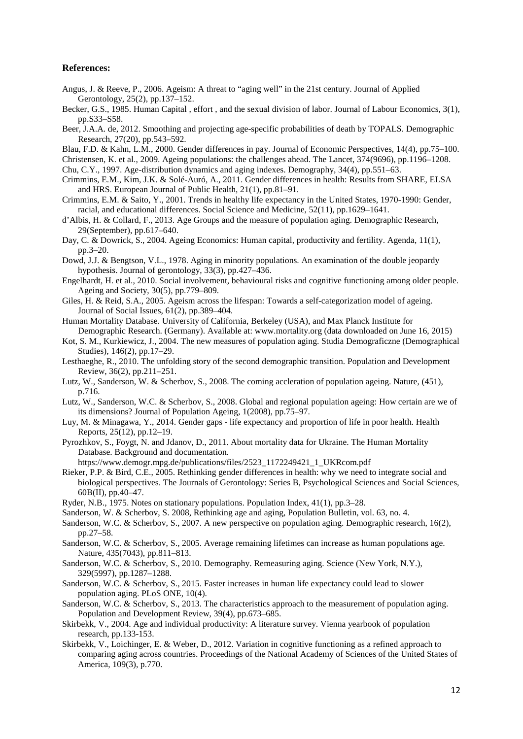#### **References:**

- Angus, J. & Reeve, P., 2006. Ageism: A threat to "aging well" in the 21st century. Journal of Applied Gerontology, 25(2), pp.137–152.
- Becker, G.S., 1985. Human Capital , effort , and the sexual division of labor. Journal of Labour Economics, 3(1), pp.S33–S58.
- Beer, J.A.A. de, 2012. Smoothing and projecting age-specific probabilities of death by TOPALS. Demographic Research, 27(20), pp.543–592.
- Blau, F.D. & Kahn, L.M., 2000. Gender differences in pay. Journal of Economic Perspectives, 14(4), pp.75–100.
- Christensen, K. et al., 2009. Ageing populations: the challenges ahead. The Lancet, 374(9696), pp.1196–1208. Chu, C.Y., 1997. Age-distribution dynamics and aging indexes. Demography, 34(4), pp.551–63.
- Crimmins, E.M., Kim, J.K. & Solé-Auró, A., 2011. Gender differences in health: Results from SHARE, ELSA and HRS. European Journal of Public Health, 21(1), pp.81–91.
- Crimmins, E.M. & Saito, Y., 2001. Trends in healthy life expectancy in the United States, 1970-1990: Gender, racial, and educational differences. Social Science and Medicine, 52(11), pp.1629–1641.
- d'Albis, H. & Collard, F., 2013. Age Groups and the measure of population aging. Demographic Research, 29(September), pp.617–640.
- Day, C. & Dowrick, S., 2004. Ageing Economics: Human capital, productivity and fertility. Agenda, 11(1), pp.3–20.
- Dowd, J.J. & Bengtson, V.L., 1978. Aging in minority populations. An examination of the double jeopardy hypothesis. Journal of gerontology, 33(3), pp.427–436.
- Engelhardt, H. et al., 2010. Social involvement, behavioural risks and cognitive functioning among older people. Ageing and Society, 30(5), pp.779–809.
- Giles, H. & Reid, S.A., 2005. Ageism across the lifespan: Towards a self-categorization model of ageing. Journal of Social Issues, 61(2), pp.389–404.
- Human Mortality Database. University of California, Berkeley (USA), and Max Planck Institute for Demographic Research. (Germany). Available at: www.mortality.org (data downloaded on June 16, 2015)
- Kot, S. M., Kurkiewicz, J., 2004. The new measures of population aging. Studia Demograficzne (Demographical Studies), 146(2), pp.17–29.
- Lesthaeghe, R., 2010. The unfolding story of the second demographic transition. Population and Development Review, 36(2), pp.211–251.
- Lutz, W., Sanderson, W. & Scherbov, S., 2008. The coming accleration of population ageing. Nature, (451), p.716.
- Lutz, W., Sanderson, W.C. & Scherbov, S., 2008. Global and regional population ageing: How certain are we of its dimensions? Journal of Population Ageing, 1(2008), pp.75–97.
- Luy, M. & Minagawa, Y., 2014. Gender gaps life expectancy and proportion of life in poor health. Health Reports, 25(12), pp.12–19.
- Pyrozhkov, S., Foygt, N. and Jdanov, D., 2011. About mortality data for Ukraine. The Human Mortality Database. Background and documentation.
- https://www.demogr.mpg.de/publications/files/2523\_1172249421\_1\_UKRcom.pdf
- Rieker, P.P. & Bird, C.E., 2005. Rethinking gender differences in health: why we need to integrate social and biological perspectives. The Journals of Gerontology: Series B, Psychological Sciences and Social Sciences, 60B(II), pp.40–47.
- Ryder, N.B., 1975. Notes on stationary populations. Population Index, 41(1), pp.3–28.
- Sanderson, W. & Scherbov, S. 2008, Rethinking age and aging, Population Bulletin, vol. 63, no. 4.
- Sanderson, W.C. & Scherbov, S., 2007. A new perspective on population aging. Demographic research, 16(2), pp.27–58.
- Sanderson, W.C. & Scherbov, S., 2005. Average remaining lifetimes can increase as human populations age. Nature, 435(7043), pp.811–813.
- Sanderson, W.C. & Scherbov, S., 2010. Demography. Remeasuring aging. Science (New York, N.Y.), 329(5997), pp.1287–1288.
- Sanderson, W.C. & Scherbov, S., 2015. Faster increases in human life expectancy could lead to slower population aging. PLoS ONE, 10(4).
- Sanderson, W.C. & Scherbov, S., 2013. The characteristics approach to the measurement of population aging. Population and Development Review, 39(4), pp.673–685.
- Skirbekk, V., 2004. Age and individual productivity: A literature survey. Vienna yearbook of population research, pp.133-153.
- Skirbekk, V., Loichinger, E. & Weber, D., 2012. Variation in cognitive functioning as a refined approach to comparing aging across countries. Proceedings of the National Academy of Sciences of the United States of America, 109(3), p.770.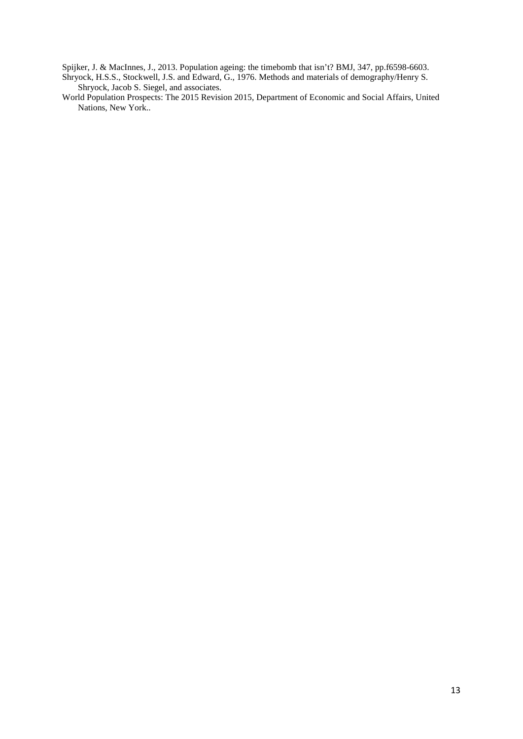Spijker, J. & MacInnes, J., 2013. Population ageing: the timebomb that isn't? BMJ, 347, pp.f6598-6603.

Shryock, H.S.S., Stockwell, J.S. and Edward, G., 1976. Methods and materials of demography/Henry S. Shryock, Jacob S. Siegel, and associates.

World Population Prospects: The 2015 Revision 2015, Department of Economic and Social Affairs, United Nations, New York..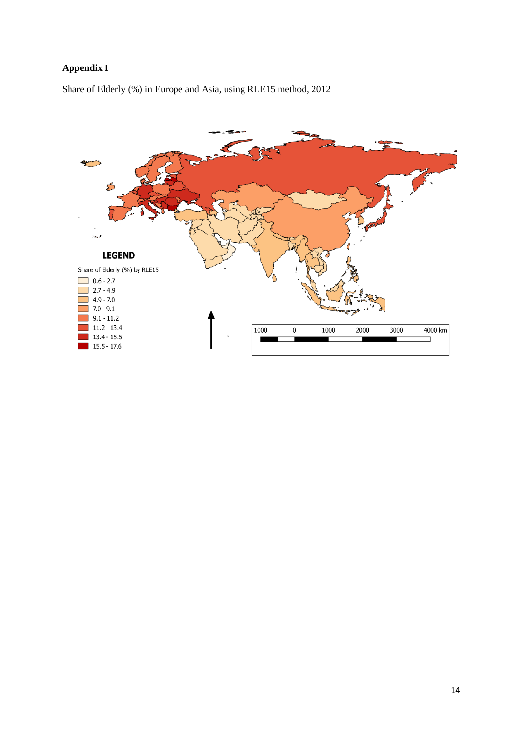# **Appendix I**

Share of Elderly (%) in Europe and Asia, using RLE15 method, 2012